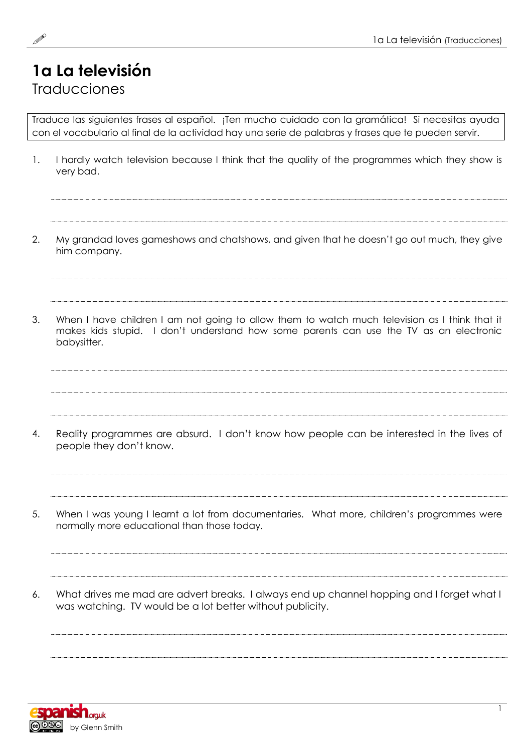## **1a La televisión** Traducciones

Traduce las siguientes frases al español. ¡Ten mucho cuidado con la gramática! Si necesitas ayuda con el vocabulario al final de la actividad hay una serie de palabras y frases que te pueden servir.

1. I hardly watch television because I think that the quality of the programmes which they show is very bad.

2. My grandad loves gameshows and chatshows, and given that he doesn't go out much, they give him company.

3. When I have children I am not going to allow them to watch much television as I think that it

makes kids stupid. I don't understand how some parents can use the TV as an electronic babysitter.

4. Reality programmes are absurd. I don't know how people can be interested in the lives of people they don't know.

5. When I was young I learnt a lot from documentaries. What more, children's programmes were normally more educational than those today.

6. What drives me mad are advert breaks. I always end up channel hopping and I forget what I was watching. TV would be a lot better without publicity.

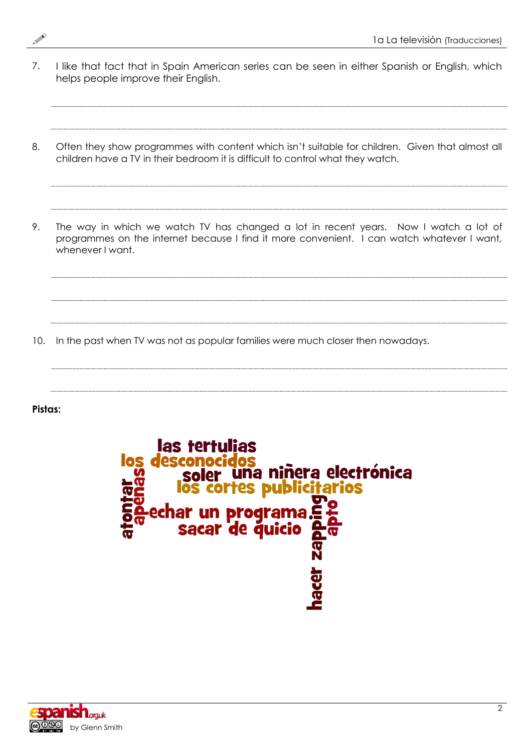- 7. I like that fact that in Spain American series can be seen in either Spanish or English, which helps people improve their English.
	-
- 8. Often they show programmes with content which isn't suitable for children. Given that almost all children have a TV in their bedroom it is difficult to control what they watch.
- 9. The way in which we watch TV has changed a lot in recent years. Now I watch a lot of programmes on the internet because I find it more convenient. I can watch whatever I want, whenever I want.

10. In the past when TV was not as popular families were much closer then nowadays.

**Pistas:**